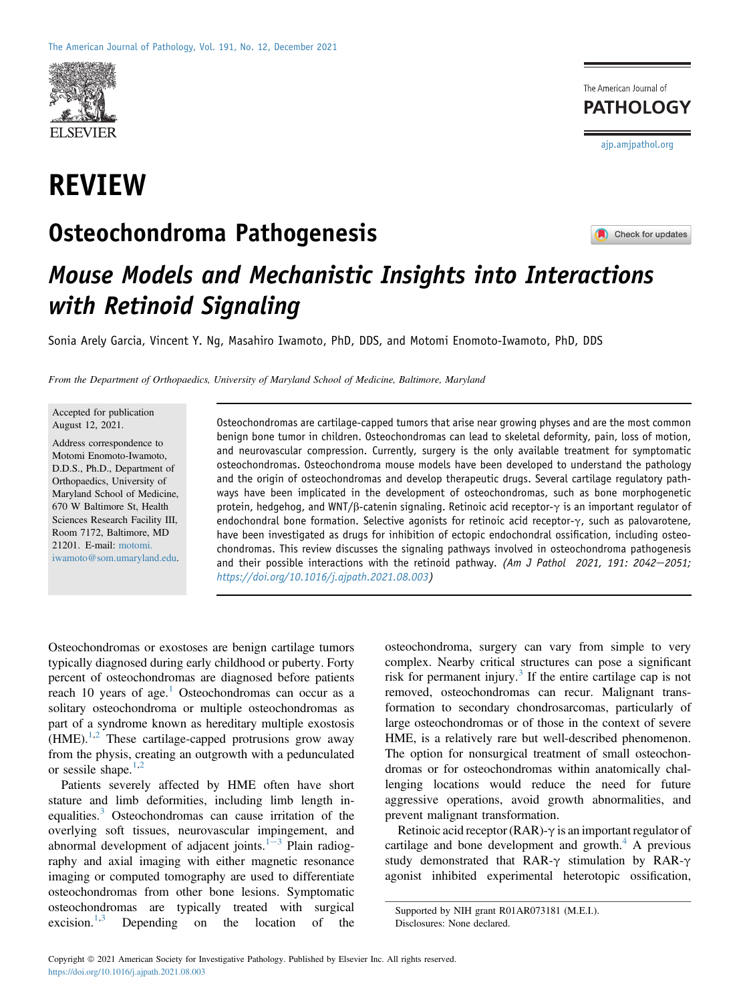

# REVIEW

## Osteochondroma Pathogenesis



[ajp.amjpathol.org](http://ajp.amjpathol.org)

The American Journal of **PATHOLOGY** 

# Mouse Models and Mechanistic Insights into Interactions with Retinoid Signaling

Sonia Arely Garcia, Vincent Y. Ng, Masahiro Iwamoto, PhD, DDS, and Motomi Enomoto-Iwamoto, PhD, DDS

From the Department of Orthopaedics, University of Maryland School of Medicine, Baltimore, Maryland

Accepted for publication August 12, 2021.

Address correspondence to Motomi Enomoto-Iwamoto, D.D.S., Ph.D., Department of Orthopaedics, University of Maryland School of Medicine, 670 W Baltimore St, Health Sciences Research Facility III, Room 7172, Baltimore, MD 21201. E-mail: [motomi.](mailto:motomi.iwamoto@som.umaryland.edu) [iwamoto@som.umaryland.edu.](mailto:motomi.iwamoto@som.umaryland.edu) Osteochondromas are cartilage-capped tumors that arise near growing physes and are the most common benign bone tumor in children. Osteochondromas can lead to skeletal deformity, pain, loss of motion, and neurovascular compression. Currently, surgery is the only available treatment for symptomatic osteochondromas. Osteochondroma mouse models have been developed to understand the pathology and the origin of osteochondromas and develop therapeutic drugs. Several cartilage regulatory pathways have been implicated in the development of osteochondromas, such as bone morphogenetic protein, hedgehog, and WNT/ $\beta$ -catenin signaling. Retinoic acid receptor- $\gamma$  is an important regulator of endochondral bone formation. Selective agonists for retinoic acid receptor- $\gamma$ , such as palovarotene, have been investigated as drugs for inhibition of ectopic endochondral ossification, including osteochondromas. This review discusses the signaling pathways involved in osteochondroma pathogenesis and their possible interactions with the retinoid pathway. (Am J Pathol 2021, 191: 2042-2051; [https://doi.org/10.1016/j.ajpath.2021.08.003\)](https://doi.org/10.1016/j.ajpath.2021.08.003)

Osteochondromas or exostoses are benign cartilage tumors typically diagnosed during early childhood or puberty. Forty percent of osteochondromas are diagnosed before patients reach [1](#page-7-0)0 years of age.<sup>1</sup> Osteochondromas can occur as a solitary osteochondroma or multiple osteochondromas as part of a syndrome known as hereditary multiple exostosis  $(HME)$ <sup>[1](#page-7-0)[,2](#page-7-1)</sup> These cartilage-capped protrusions grow away from the physis, creating an outgrowth with a pedunculated or sessile shape. $1,2$  $1,2$ 

Patients severely affected by HME often have short stature and limb deformities, including limb length in-equalities.<sup>[3](#page-7-2)</sup> Osteochondromas can cause irritation of the overlying soft tissues, neurovascular impingement, and abnormal development of adjacent joints. $1-3$  $1-3$  Plain radiography and axial imaging with either magnetic resonance imaging or computed tomography are used to differentiate osteochondromas from other bone lesions. Symptomatic osteochondromas are typically treated with surgical excision. $1,3$  $1,3$  $1,3$  Depending on the location of the

osteochondroma, surgery can vary from simple to very complex. Nearby critical structures can pose a significant risk for permanent injury.<sup>[3](#page-7-2)</sup> If the entire cartilage cap is not removed, osteochondromas can recur. Malignant transformation to secondary chondrosarcomas, particularly of large osteochondromas or of those in the context of severe HME, is a relatively rare but well-described phenomenon. The option for nonsurgical treatment of small osteochondromas or for osteochondromas within anatomically challenging locations would reduce the need for future aggressive operations, avoid growth abnormalities, and prevent malignant transformation.

Retinoic acid receptor (RAR)- $\gamma$  is an important regulator of cartilage and bone development and growth. $4 \text{ A}$  previous study demonstrated that RAR- $\gamma$  stimulation by RAR- $\gamma$ agonist inhibited experimental heterotopic ossification,

Supported by NIH grant R01AR073181 (M.E.I.).

Disclosures: None declared.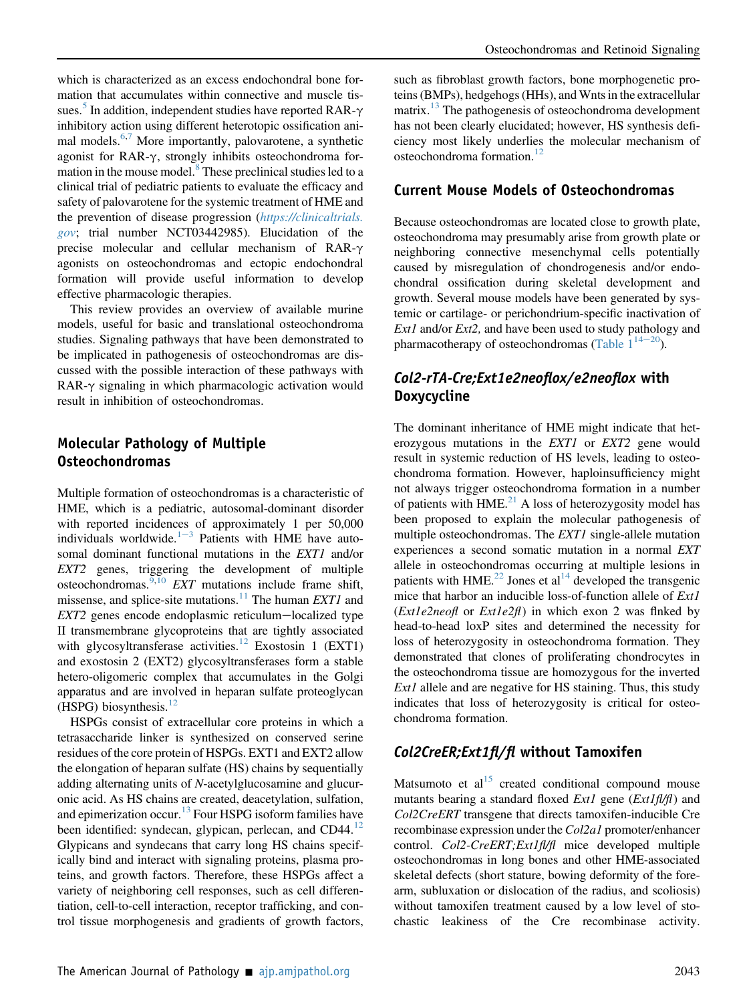which is characterized as an excess endochondral bone formation that accumulates within connective and muscle tis-sues.<sup>[5](#page-7-4)</sup> In addition, independent studies have reported RAR- $\gamma$ inhibitory action using different heterotopic ossification ani-mal models.<sup>6,[7](#page-8-1)</sup> More importantly, palovarotene, a synthetic agonist for RAR- $\gamma$ , strongly inhibits osteochondroma for-mation in the mouse model.<sup>[8](#page-8-2)</sup> These preclinical studies led to a clinical trial of pediatric patients to evaluate the efficacy and safety of palovarotene for the systemic treatment of HME and the prevention of disease progression ([https://clinicaltrials.](https://clinicaltrials.gov) [gov](https://clinicaltrials.gov); trial number NCT03442985). Elucidation of the precise molecular and cellular mechanism of RAR- $\gamma$ agonists on osteochondromas and ectopic endochondral formation will provide useful information to develop effective pharmacologic therapies.

This review provides an overview of available murine models, useful for basic and translational osteochondroma studies. Signaling pathways that have been demonstrated to be implicated in pathogenesis of osteochondromas are discussed with the possible interaction of these pathways with  $RAR-\gamma$  signaling in which pharmacologic activation would result in inhibition of osteochondromas.

## Molecular Pathology of Multiple Osteochondromas

Multiple formation of osteochondromas is a characteristic of HME, which is a pediatric, autosomal-dominant disorder with reported incidences of approximately 1 per 50,000 individuals worldwide. $1-3$  $1-3$  $1-3$  Patients with HME have autosomal dominant functional mutations in the EXT1 and/or EXT2 genes, triggering the development of multiple osteochondromas.<sup>[9](#page-8-3)[,10](#page-8-4)</sup> EXT mutations include frame shift, missense, and splice-site mutations.<sup>[11](#page-8-5)</sup> The human *EXT1* and  $EXT2$  genes encode endoplasmic reticulum-localized type II transmembrane glycoproteins that are tightly associated with glycosyltransferase activities.<sup>[12](#page-8-6)</sup> Exostosin 1 (EXT1) and exostosin 2 (EXT2) glycosyltransferases form a stable hetero-oligomeric complex that accumulates in the Golgi apparatus and are involved in heparan sulfate proteoglycan (HSPG) biosynthesis.<sup>12</sup>

HSPGs consist of extracellular core proteins in which a tetrasaccharide linker is synthesized on conserved serine residues of the core protein of HSPGs. EXT1 and EXT2 allow the elongation of heparan sulfate (HS) chains by sequentially adding alternating units of N-acetylglucosamine and glucuronic acid. As HS chains are created, deacetylation, sulfation, and epimerization occur.<sup>[13](#page-8-7)</sup> Four HSPG isoform families have been identified: syndecan, glypican, perlecan, and CD44.<sup>[12](#page-8-6)</sup> Glypicans and syndecans that carry long HS chains specifically bind and interact with signaling proteins, plasma proteins, and growth factors. Therefore, these HSPGs affect a variety of neighboring cell responses, such as cell differentiation, cell-to-cell interaction, receptor trafficking, and control tissue morphogenesis and gradients of growth factors,

such as fibroblast growth factors, bone morphogenetic proteins (BMPs), hedgehogs (HHs), and Wnts in the extracellular matrix.<sup>[13](#page-8-7)</sup> The pathogenesis of osteochondroma development has not been clearly elucidated; however, HS synthesis deficiency most likely underlies the molecular mechanism of osteochondroma formation.<sup>[12](#page-8-6)</sup>

## Current Mouse Models of Osteochondromas

Because osteochondromas are located close to growth plate, osteochondroma may presumably arise from growth plate or neighboring connective mesenchymal cells potentially caused by misregulation of chondrogenesis and/or endochondral ossification during skeletal development and growth. Several mouse models have been generated by systemic or cartilage- or perichondrium-specific inactivation of  $Ext1$  and/or  $Ext2$ , and have been used to study pathology and pharmacotherapy of osteochondromas (Table  $1^{14-20}$  $1^{14-20}$  $1^{14-20}$ ).

## Col2-rTA-Cre;Ext1e2neoflox/e2neoflox with Doxycycline

The dominant inheritance of HME might indicate that heterozygous mutations in the EXT1 or EXT2 gene would result in systemic reduction of HS levels, leading to osteochondroma formation. However, haploinsufficiency might not always trigger osteochondroma formation in a number of patients with HME. $^{21}$  $^{21}$  $^{21}$  A loss of heterozygosity model has been proposed to explain the molecular pathogenesis of multiple osteochondromas. The *EXT1* single-allele mutation experiences a second somatic mutation in a normal EXT allele in osteochondromas occurring at multiple lesions in patients with HME.<sup>22</sup> Jones et al<sup>[14](#page-8-8)</sup> developed the transgenic mice that harbor an inducible loss-of-function allele of Ext1  $(Extle2neof$  or  $Extle2f$ ) in which exon 2 was flnked by head-to-head loxP sites and determined the necessity for loss of heterozygosity in osteochondroma formation. They demonstrated that clones of proliferating chondrocytes in the osteochondroma tissue are homozygous for the inverted Ext1 allele and are negative for HS staining. Thus, this study indicates that loss of heterozygosity is critical for osteochondroma formation.

## Col2CreER;Ext1fl/fl without Tamoxifen

Matsumoto et  $al<sup>15</sup>$  $al<sup>15</sup>$  $al<sup>15</sup>$  created conditional compound mouse mutants bearing a standard floxed  $Ext1$  gene ( $Ext1f\ell/ff$ ) and Col2CreERT transgene that directs tamoxifen-inducible Cre recombinase expression under the Col2a1 promoter/enhancer control. Col2-CreERT; Ext1fl/fl mice developed multiple osteochondromas in long bones and other HME-associated skeletal defects (short stature, bowing deformity of the forearm, subluxation or dislocation of the radius, and scoliosis) without tamoxifen treatment caused by a low level of stochastic leakiness of the Cre recombinase activity.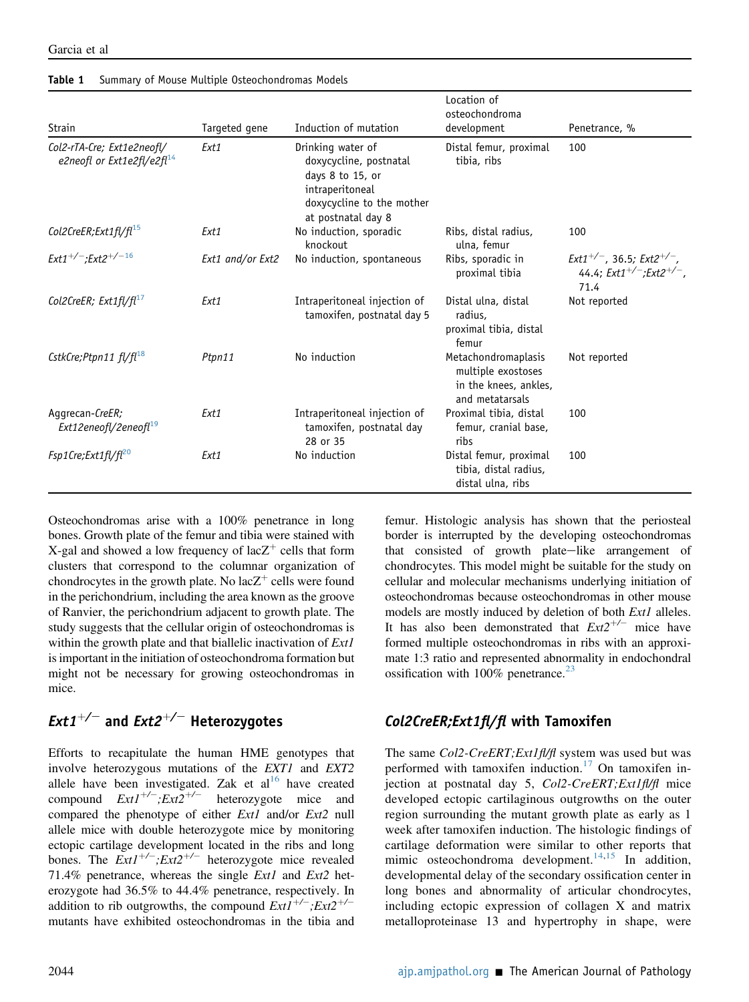|                                                             |                  |                                                                                                                                       | Location of<br>osteochondroma                                                         |                                                                                    |
|-------------------------------------------------------------|------------------|---------------------------------------------------------------------------------------------------------------------------------------|---------------------------------------------------------------------------------------|------------------------------------------------------------------------------------|
| Strain                                                      | Targeted gene    | Induction of mutation                                                                                                                 | development                                                                           | Penetrance, %                                                                      |
| Col2-rTA-Cre; Ext1e2neofl/<br>e2neofl or Ext1e2fl/e2fl $14$ | Ext1             | Drinking water of<br>doxycycline, postnatal<br>days 8 to 15, or<br>intraperitoneal<br>doxycycline to the mother<br>at postnatal day 8 | Distal femur, proximal<br>tibia, ribs                                                 | 100                                                                                |
| Col2CreER;Ext1fl/fl <sup>15</sup>                           | Ext1             | No induction, sporadic<br>knockout                                                                                                    | Ribs, distal radius,<br>ulna, femur                                                   | 100                                                                                |
| $Ext1^{+/-}$ ; Ext2 <sup>+/-16</sup>                        | Ext1 and/or Ext2 | No induction, spontaneous                                                                                                             | Ribs, sporadic in<br>proximal tibia                                                   | $Ext1^{+/-}$ , 36.5; $Ext2^{+/-}$ ,<br>44.4; $Ext1^{+/-}$ ; $Ext2^{+/-}$ ,<br>71.4 |
| Col2CreER; Ext1fl/fl $^{17}$                                | Ext1             | Intraperitoneal injection of<br>tamoxifen, postnatal day 5                                                                            | Distal ulna, distal<br>radius,<br>proximal tibia, distal<br>femur                     | Not reported                                                                       |
| CstkCre; Ptpn11 $f l / f l^{18}$                            | Ptpn11           | No induction                                                                                                                          | Metachondromaplasis<br>multiple exostoses<br>in the knees, ankles,<br>and metatarsals | Not reported                                                                       |
| Aggrecan-CreER;<br>Ext12eneofl/2eneofl <sup>19</sup>        | Ext1             | Intraperitoneal injection of<br>tamoxifen, postnatal day<br>28 or 35                                                                  | Proximal tibia, distal<br>femur, cranial base,<br>ribs                                | 100                                                                                |
| $Fsp1Cre; Ext1fl/fl^{20}$                                   | Ext1             | No induction                                                                                                                          | Distal femur, proximal<br>tibia, distal radius,<br>distal ulna, ribs                  | 100                                                                                |

#### <span id="page-2-0"></span>Table 1 Summary of Mouse Multiple Osteochondromas Models

Osteochondromas arise with a 100% penetrance in long bones. Growth plate of the femur and tibia were stained with X-gal and showed a low frequency of  $lacZ^+$  cells that form clusters that correspond to the columnar organization of chondrocytes in the growth plate. No lac $Z^+$  cells were found in the perichondrium, including the area known as the groove of Ranvier, the perichondrium adjacent to growth plate. The study suggests that the cellular origin of osteochondromas is within the growth plate and that biallelic inactivation of Ext1 is important in the initiation of osteochondroma formation but might not be necessary for growing osteochondromas in mice.

## *Ext1<sup>+/-</sup>* and *Ext2<sup>+/-</sup>* Heterozygotes

Efforts to recapitulate the human HME genotypes that involve heterozygous mutations of the EXT1 and EXT2 allele have been investigated. Zak et al<sup>[16](#page-8-12)</sup> have created compound  $Ext1^{+/-}$ ;  $Ext2^{+/-}$  heterozygote mice and compared the phenotype of either Ext1 and/or Ext2 null allele mice with double heterozygote mice by monitoring ectopic cartilage development located in the ribs and long bones. The  $Ext1^{+/-}$ ;  $Ext2^{+/-}$  heterozygote mice revealed 71.4% penetrance, whereas the single Ext1 and Ext2 heterozygote had 36.5% to 44.4% penetrance, respectively. In addition to rib outgrowths, the compound  $Ext1^{+/-}$ ;  $Ext2^{+/-}$ mutants have exhibited osteochondromas in the tibia and

femur. Histologic analysis has shown that the periosteal border is interrupted by the developing osteochondromas that consisted of growth plate-like arrangement of chondrocytes. This model might be suitable for the study on cellular and molecular mechanisms underlying initiation of osteochondromas because osteochondromas in other mouse models are mostly induced by deletion of both *Ext1* alleles. It has also been demonstrated that  $Ext2^{+/-}$  mice have formed multiple osteochondromas in ribs with an approximate 1:3 ratio and represented abnormality in endochondral ossification with  $100\%$  penetrance.<sup>[23](#page-8-13)</sup>

### Col2CreER;Ext1fl/fl with Tamoxifen

The same Col2-CreERT; Ext1fl/fl system was used but was performed with tamoxifen induction.<sup>[17](#page-8-14)</sup> On tamoxifen injection at postnatal day 5, Col2-CreERT; Ext1fl/fl mice developed ectopic cartilaginous outgrowths on the outer region surrounding the mutant growth plate as early as 1 week after tamoxifen induction. The histologic findings of cartilage deformation were similar to other reports that mimic osteochondroma development.<sup>[14](#page-8-8)[,15](#page-8-11)</sup> In addition, developmental delay of the secondary ossification center in long bones and abnormality of articular chondrocytes, including ectopic expression of collagen X and matrix metalloproteinase 13 and hypertrophy in shape, were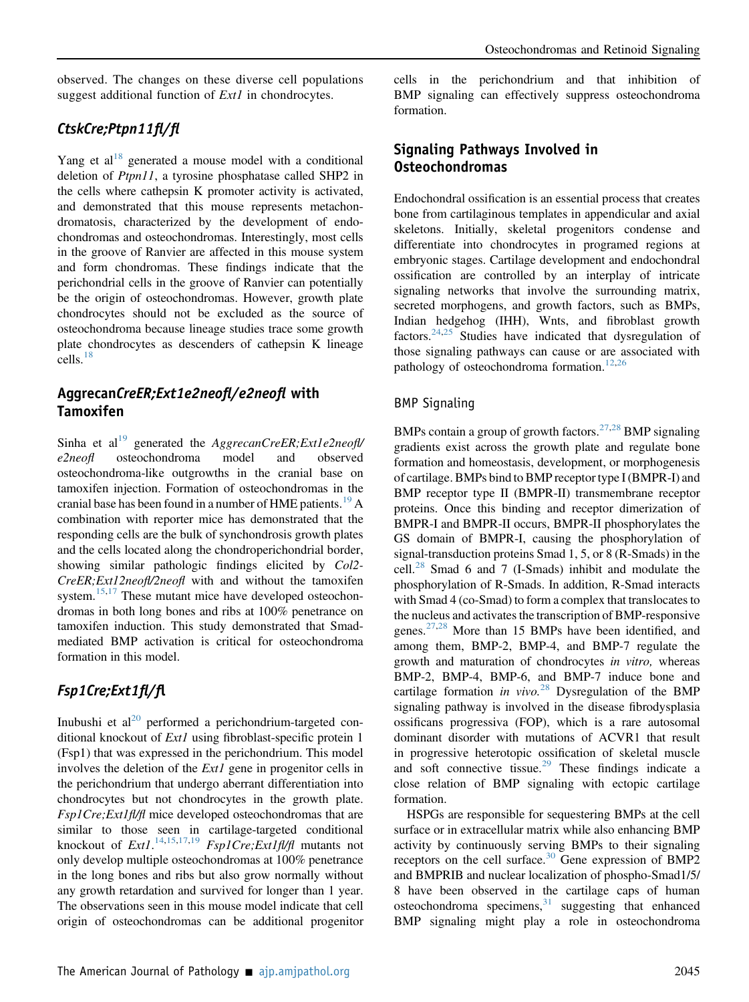observed. The changes on these diverse cell populations suggest additional function of *Ext1* in chondrocytes.

## CtskCre;Ptpn11fl/fl

Yang et al<sup>[18](#page-8-15)</sup> generated a mouse model with a conditional deletion of *Ptpn11*, a tyrosine phosphatase called SHP2 in the cells where cathepsin K promoter activity is activated, and demonstrated that this mouse represents metachondromatosis, characterized by the development of endochondromas and osteochondromas. Interestingly, most cells in the groove of Ranvier are affected in this mouse system and form chondromas. These findings indicate that the perichondrial cells in the groove of Ranvier can potentially be the origin of osteochondromas. However, growth plate chondrocytes should not be excluded as the source of osteochondroma because lineage studies trace some growth plate chondrocytes as descenders of cathepsin K lineage  $\text{cells.}^{18}$  $\text{cells.}^{18}$  $\text{cells.}^{18}$ 

## AggrecanCreER;Ext1e2neofl/e2neofl with Tamoxifen

Sinha et al<sup>[19](#page-8-16)</sup> generated the AggrecanCreER; Ext1e2neofl/ e2neofl osteochondroma model and observed osteochondroma-like outgrowths in the cranial base on tamoxifen injection. Formation of osteochondromas in the cranial base has been found in a number of  $HME$  patients.<sup>[19](#page-8-16)</sup> A combination with reporter mice has demonstrated that the responding cells are the bulk of synchondrosis growth plates and the cells located along the chondroperichondrial border, showing similar pathologic findings elicited by Col2- CreER;Ext12neofl/2neofl with and without the tamoxifen system. $15,17$  $15,17$  These mutant mice have developed osteochondromas in both long bones and ribs at 100% penetrance on tamoxifen induction. This study demonstrated that Smadmediated BMP activation is critical for osteochondroma formation in this model.

## Fsp1Cre;Ext1fl/fl

Inubushi et  $al^{20}$  $al^{20}$  $al^{20}$  performed a perichondrium-targeted conditional knockout of *Ext1* using fibroblast-specific protein 1 (Fsp1) that was expressed in the perichondrium. This model involves the deletion of the *Ext1* gene in progenitor cells in the perichondrium that undergo aberrant differentiation into chondrocytes but not chondrocytes in the growth plate. Fsp1Cre;Ext1fl/fl mice developed osteochondromas that are similar to those seen in cartilage-targeted conditional knockout of  $Ext1^{14,15,17,19}$  $Ext1^{14,15,17,19}$  $Ext1^{14,15,17,19}$  $Ext1^{14,15,17,19}$  $Ext1^{14,15,17,19}$  $Ext1^{14,15,17,19}$  $Ext1^{14,15,17,19}$   $Fsp1Cre; Ext1f\!Uf\!f$  mutants not only develop multiple osteochondromas at 100% penetrance in the long bones and ribs but also grow normally without any growth retardation and survived for longer than 1 year. The observations seen in this mouse model indicate that cell origin of osteochondromas can be additional progenitor cells in the perichondrium and that inhibition of BMP signaling can effectively suppress osteochondroma formation.

## Signaling Pathways Involved in Osteochondromas

Endochondral ossification is an essential process that creates bone from cartilaginous templates in appendicular and axial skeletons. Initially, skeletal progenitors condense and differentiate into chondrocytes in programed regions at embryonic stages. Cartilage development and endochondral ossification are controlled by an interplay of intricate signaling networks that involve the surrounding matrix, secreted morphogens, and growth factors, such as BMPs, Indian hedgehog (IHH), Wnts, and fibroblast growth factors.<sup>24,[25](#page-8-19)</sup> Studies have indicated that dysregulation of those signaling pathways can cause or are associated with pathology of osteochondroma formation.<sup>[12](#page-8-6)[,26](#page-8-20)</sup>

### BMP Signaling

BMPs contain a group of growth factors.<sup>[27,](#page-8-21)[28](#page-8-22)</sup> BMP signaling gradients exist across the growth plate and regulate bone formation and homeostasis, development, or morphogenesis of cartilage. BMPs bind to BMP receptor type I (BMPR-I) and BMP receptor type II (BMPR-II) transmembrane receptor proteins. Once this binding and receptor dimerization of BMPR-I and BMPR-II occurs, BMPR-II phosphorylates the GS domain of BMPR-I, causing the phosphorylation of signal-transduction proteins Smad 1, 5, or 8 (R-Smads) in the cell.<sup>[28](#page-8-22)</sup> Smad 6 and 7 (I-Smads) inhibit and modulate the phosphorylation of R-Smads. In addition, R-Smad interacts with Smad 4 (co-Smad) to form a complex that translocates to the nucleus and activates the transcription of BMP-responsive genes. $27,28$  $27,28$  More than 15 BMPs have been identified, and among them, BMP-2, BMP-4, and BMP-7 regulate the growth and maturation of chondrocytes in vitro, whereas BMP-2, BMP-4, BMP-6, and BMP-7 induce bone and cartilage formation in vivo.<sup>[28](#page-8-22)</sup> Dysregulation of the BMP signaling pathway is involved in the disease fibrodysplasia ossificans progressiva (FOP), which is a rare autosomal dominant disorder with mutations of ACVR1 that result in progressive heterotopic ossification of skeletal muscle and soft connective tissue.<sup>[29](#page-8-23)</sup> These findings indicate a close relation of BMP signaling with ectopic cartilage formation.

HSPGs are responsible for sequestering BMPs at the cell surface or in extracellular matrix while also enhancing BMP activity by continuously serving BMPs to their signaling receptors on the cell surface. $30$  Gene expression of BMP2 and BMPRIB and nuclear localization of phospho-Smad1/5/ 8 have been observed in the cartilage caps of human osteochondroma specimens, $31$  suggesting that enhanced BMP signaling might play a role in osteochondroma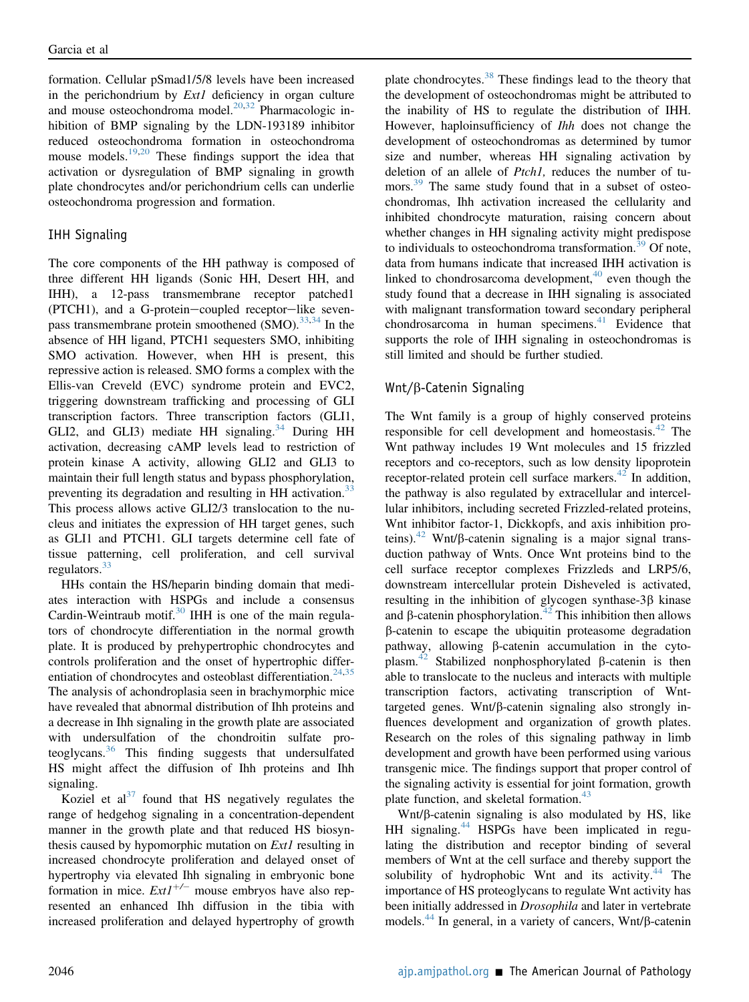formation. Cellular pSmad1/5/8 levels have been increased in the perichondrium by  $Ext1$  deficiency in organ culture and mouse osteochondroma model. $20,32$  $20,32$  Pharmacologic inhibition of BMP signaling by the LDN-193189 inhibitor reduced osteochondroma formation in osteochondroma mouse models.<sup>[19,](#page-8-16)[20](#page-8-17)</sup> These findings support the idea that activation or dysregulation of BMP signaling in growth plate chondrocytes and/or perichondrium cells can underlie osteochondroma progression and formation.

### IHH Signaling

The core components of the HH pathway is composed of three different HH ligands (Sonic HH, Desert HH, and IHH), a 12-pass transmembrane receptor patched1  $(PTCH1)$ , and a G-protein-coupled receptor-like sevenpass transmembrane protein smoothened  $(SMO)$ .  $33,34$  $33,34$  In the absence of HH ligand, PTCH1 sequesters SMO, inhibiting SMO activation. However, when HH is present, this repressive action is released. SMO forms a complex with the Ellis-van Creveld (EVC) syndrome protein and EVC2, triggering downstream trafficking and processing of GLI transcription factors. Three transcription factors (GLI1, GLI2, and GLI3) mediate HH signaling. $34$  During HH activation, decreasing cAMP levels lead to restriction of protein kinase A activity, allowing GLI2 and GLI3 to maintain their full length status and bypass phosphorylation, preventing its degradation and resulting in HH activation.<sup>[33](#page-8-27)</sup> This process allows active GLI2/3 translocation to the nucleus and initiates the expression of HH target genes, such as GLI1 and PTCH1. GLI targets determine cell fate of tissue patterning, cell proliferation, and cell survival regulators.[33](#page-8-27)

HHs contain the HS/heparin binding domain that mediates interaction with HSPGs and include a consensus Cardin-Weintraub motif.<sup>[30](#page-8-24)</sup> IHH is one of the main regulators of chondrocyte differentiation in the normal growth plate. It is produced by prehypertrophic chondrocytes and controls proliferation and the onset of hypertrophic differ-entiation of chondrocytes and osteoblast differentiation.<sup>[24](#page-8-18)[,35](#page-8-29)</sup> The analysis of achondroplasia seen in brachymorphic mice have revealed that abnormal distribution of Ihh proteins and a decrease in Ihh signaling in the growth plate are associated with undersulfation of the chondroitin sulfate proteoglycans.[36](#page-8-30) This finding suggests that undersulfated HS might affect the diffusion of Ihh proteins and Ihh signaling.

Koziel et  $al^{37}$  $al^{37}$  $al^{37}$  found that HS negatively regulates the range of hedgehog signaling in a concentration-dependent manner in the growth plate and that reduced HS biosynthesis caused by hypomorphic mutation on Ext1 resulting in increased chondrocyte proliferation and delayed onset of hypertrophy via elevated Ihh signaling in embryonic bone formation in mice.  $Ext1^{+/-}$  mouse embryos have also represented an enhanced Ihh diffusion in the tibia with increased proliferation and delayed hypertrophy of growth

plate chondrocytes.[38](#page-8-32) These findings lead to the theory that the development of osteochondromas might be attributed to the inability of HS to regulate the distribution of IHH. However, haploinsufficiency of Ihh does not change the development of osteochondromas as determined by tumor size and number, whereas HH signaling activation by deletion of an allele of Ptch1, reduces the number of tu-mors.<sup>[39](#page-8-33)</sup> The same study found that in a subset of osteochondromas, Ihh activation increased the cellularity and inhibited chondrocyte maturation, raising concern about whether changes in HH signaling activity might predispose to individuals to osteochondroma transformation.<sup>[39](#page-8-33)</sup> Of note, data from humans indicate that increased IHH activation is linked to chondrosarcoma development, $40$  even though the study found that a decrease in IHH signaling is associated with malignant transformation toward secondary peripheral chondrosarcoma in human specimens. $41$  Evidence that supports the role of IHH signaling in osteochondromas is still limited and should be further studied.

### Wnt/b-Catenin Signaling

The Wnt family is a group of highly conserved proteins responsible for cell development and homeostasis. $^{42}$  $^{42}$  $^{42}$  The Wnt pathway includes 19 Wnt molecules and 15 frizzled receptors and co-receptors, such as low density lipoprotein receptor-related protein cell surface markers.<sup>[42](#page-9-0)</sup> In addition, the pathway is also regulated by extracellular and intercellular inhibitors, including secreted Frizzled-related proteins, Wnt inhibitor factor-1, Dickkopfs, and axis inhibition pro-teins).<sup>[42](#page-9-0)</sup> Wnt/ $\beta$ -catenin signaling is a major signal transduction pathway of Wnts. Once Wnt proteins bind to the cell surface receptor complexes Frizzleds and LRP5/6, downstream intercellular protein Disheveled is activated, resulting in the inhibition of glycogen synthase- $3\beta$  kinase and  $\beta$ -catenin phosphorylation.<sup>[42](#page-9-0)</sup> This inhibition then allows b-catenin to escape the ubiquitin proteasome degradation pathway, allowing  $\beta$ -catenin accumulation in the cyto-plasm.<sup>[42](#page-9-0)</sup> Stabilized nonphosphorylated  $\beta$ -catenin is then able to translocate to the nucleus and interacts with multiple transcription factors, activating transcription of Wnttargeted genes. Wnt/ $\beta$ -catenin signaling also strongly influences development and organization of growth plates. Research on the roles of this signaling pathway in limb development and growth have been performed using various transgenic mice. The findings support that proper control of the signaling activity is essential for joint formation, growth plate function, and skeletal formation.<sup>[43](#page-9-1)</sup>

 $Wnt/\beta$ -catenin signaling is also modulated by HS, like HH signaling.<sup>[44](#page-9-2)</sup> HSPGs have been implicated in regulating the distribution and receptor binding of several members of Wnt at the cell surface and thereby support the solubility of hydrophobic Wnt and its activity. $44$  The importance of HS proteoglycans to regulate Wnt activity has been initially addressed in Drosophila and later in vertebrate models.<sup>[44](#page-9-2)</sup> In general, in a variety of cancers, Wnt/ $\beta$ -catenin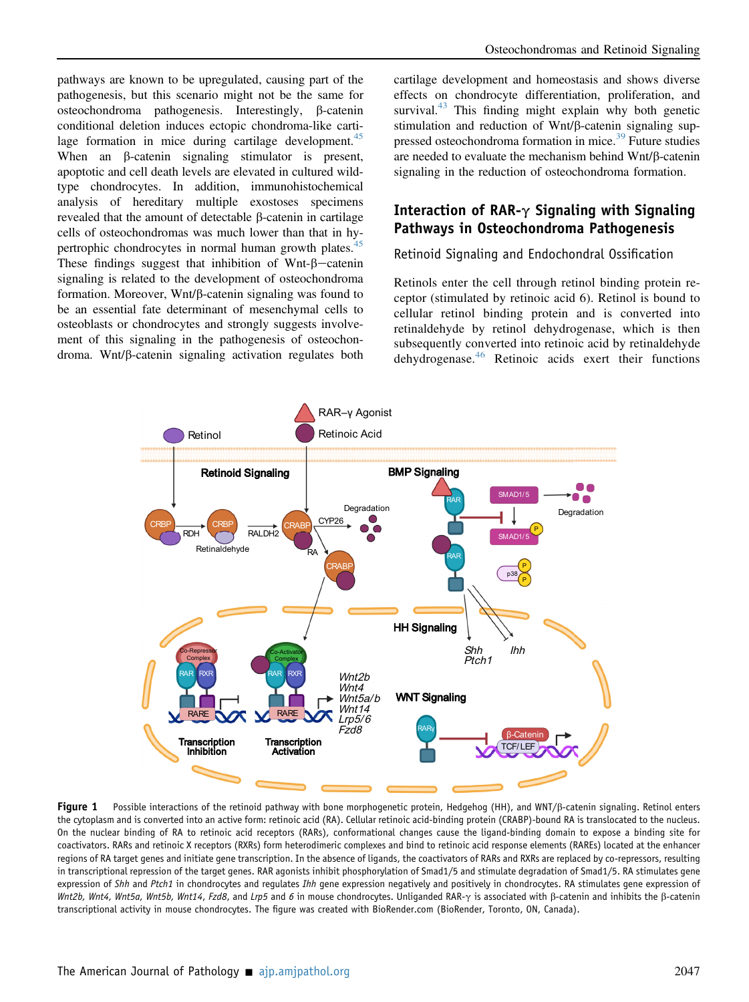pathways are known to be upregulated, causing part of the pathogenesis, but this scenario might not be the same for osteochondroma pathogenesis. Interestingly, b-catenin conditional deletion induces ectopic chondroma-like cartilage formation in mice during cartilage development. $45$ When an  $\beta$ -catenin signaling stimulator is present, apoptotic and cell death levels are elevated in cultured wildtype chondrocytes. In addition, immunohistochemical analysis of hereditary multiple exostoses specimens revealed that the amount of detectable  $\beta$ -catenin in cartilage cells of osteochondromas was much lower than that in hy-pertrophic chondrocytes in normal human growth plates.<sup>[45](#page-9-3)</sup> These findings suggest that inhibition of Wnt- $\beta$ -catenin signaling is related to the development of osteochondroma formation. Moreover,  $Wnt/\beta$ -catenin signaling was found to be an essential fate determinant of mesenchymal cells to osteoblasts or chondrocytes and strongly suggests involvement of this signaling in the pathogenesis of osteochondroma. Wnt/b-catenin signaling activation regulates both

cartilage development and homeostasis and shows diverse effects on chondrocyte differentiation, proliferation, and survival. $43$  This finding might explain why both genetic stimulation and reduction of Wnt/ $\beta$ -catenin signaling sup-pressed osteochondroma formation in mice.<sup>[39](#page-8-33)</sup> Future studies are needed to evaluate the mechanism behind Wnt/ $\beta$ -catenin signaling in the reduction of osteochondroma formation.

## Interaction of RAR- $\gamma$  Signaling with Signaling Pathways in Osteochondroma Pathogenesis

#### Retinoid Signaling and Endochondral Ossification

Retinols enter the cell through retinol binding protein receptor (stimulated by retinoic acid 6). Retinol is bound to cellular retinol binding protein and is converted into retinaldehyde by retinol dehydrogenase, which is then subsequently converted into retinoic acid by retinaldehyde dehydrogenase.<sup>[46](#page-9-4)</sup> Retinoic acids exert their functions

<span id="page-5-0"></span>

Figure 1 Possible interactions of the retinoid pathway with bone morphogenetic protein, Hedgehog (HH), and WNT/ß-catenin signaling. Retinol enters the cytoplasm and is converted into an active form: retinoic acid (RA). Cellular retinoic acid-binding protein (CRABP)-bound RA is translocated to the nucleus. On the nuclear binding of RA to retinoic acid receptors (RARs), conformational changes cause the ligand-binding domain to expose a binding site for coactivators. RARs and retinoic X receptors (RXRs) form heterodimeric complexes and bind to retinoic acid response elements (RAREs) located at the enhancer regions of RA target genes and initiate gene transcription. In the absence of ligands, the coactivators of RARs and RXRs are replaced by co-repressors, resulting in transcriptional repression of the target genes. RAR agonists inhibit phosphorylation of Smad1/5 and stimulate degradation of Smad1/5. RA stimulates gene expression of Shh and Ptch1 in chondrocytes and regulates Ihh gene expression negatively and positively in chondrocytes. RA stimulates gene expression of Wnt2b, Wnt4, Wnt5a, Wnt5b, Wnt14, Fzd8, and Lrp5 and 6 in mouse chondrocytes. Unliganded RAR- $\gamma$  is associated with  $\beta$ -catenin and inhibits the  $\beta$ -catenin transcriptional activity in mouse chondrocytes. The figure was created with BioRender.com (BioRender, Toronto, ON, Canada).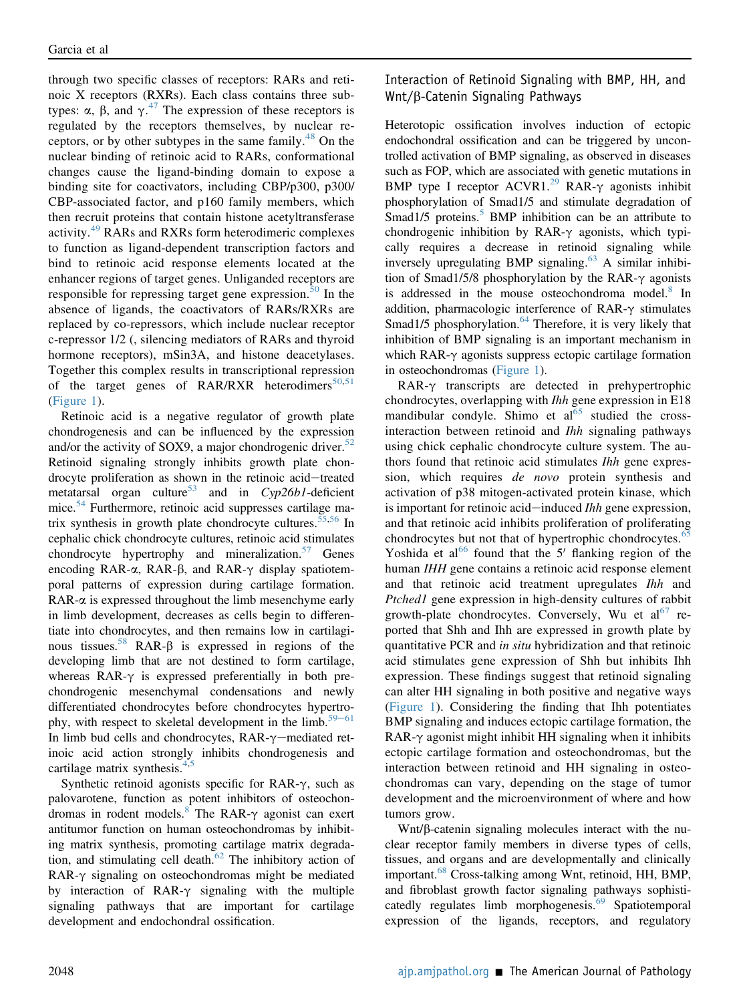through two specific classes of receptors: RARs and retinoic X receptors (RXRs). Each class contains three subtypes:  $\alpha$ ,  $\beta$ , and  $\gamma$ <sup>[47](#page-9-5)</sup>. The expression of these receptors is required by the receptors themselves by nuclear reregulated by the receptors themselves, by nuclear receptors, or by other subtypes in the same family. $48$  On the nuclear binding of retinoic acid to RARs, conformational changes cause the ligand-binding domain to expose a binding site for coactivators, including CBP/p300, p300/ CBP-associated factor, and p160 family members, which then recruit proteins that contain histone acetyltransferase activity.[49](#page-9-7) RARs and RXRs form heterodimeric complexes to function as ligand-dependent transcription factors and bind to retinoic acid response elements located at the enhancer regions of target genes. Unliganded receptors are responsible for repressing target gene expression. $50$  In the absence of ligands, the coactivators of RARs/RXRs are replaced by co-repressors, which include nuclear receptor c-repressor 1/2 (, silencing mediators of RARs and thyroid hormone receptors), mSin3A, and histone deacetylases. Together this complex results in transcriptional repression of the target genes of RAR/RXR heterodimers $50,51$  $50,51$ [\(Figure 1](#page-5-0)).

Retinoic acid is a negative regulator of growth plate chondrogenesis and can be influenced by the expression and/or the activity of SOX9, a major chondrogenic driver. $52$ Retinoid signaling strongly inhibits growth plate chondrocyte proliferation as shown in the retinoic acid-treated metatarsal organ culture<sup>[53](#page-9-11)</sup> and in  $Cyp26b1$ -deficient mice.<sup>[54](#page-9-12)</sup> Furthermore, retinoic acid suppresses cartilage ma-trix synthesis in growth plate chondrocyte cultures.<sup>[55](#page-9-13)[,56](#page-9-14)</sup> In cephalic chick chondrocyte cultures, retinoic acid stimulates chondrocyte hypertrophy and mineralization. $57$  Genes encoding RAR- $\alpha$ , RAR- $\beta$ , and RAR- $\gamma$  display spatiotemporal patterns of expression during cartilage formation.  $RAR-\alpha$  is expressed throughout the limb mesenchyme early in limb development, decreases as cells begin to differentiate into chondrocytes, and then remains low in cartilagi-nous tissues.<sup>[58](#page-9-16)</sup> RAR- $\beta$  is expressed in regions of the developing limb that are not destined to form cartilage, whereas  $RAR-\gamma$  is expressed preferentially in both prechondrogenic mesenchymal condensations and newly differentiated chondrocytes before chondrocytes hypertro-phy, with respect to skeletal development in the limb.<sup>[59](#page-9-17)–[61](#page-9-17)</sup> In limb bud cells and chondrocytes,  $RAR-\gamma$  mediated retinoic acid action strongly inhibits chondrogenesis and cartilage matrix synthesis.<sup>[4](#page-7-3)[,5](#page-7-4)</sup>

Synthetic retinoid agonists specific for RAR- $\gamma$ , such as palovarotene, function as potent inhibitors of osteochon-dromas in rodent models.<sup>[8](#page-8-2)</sup> The RAR- $\gamma$  agonist can exert antitumor function on human osteochondromas by inhibiting matrix synthesis, promoting cartilage matrix degradation, and stimulating cell death. $62$  The inhibitory action of  $RAR-\gamma$  signaling on osteochondromas might be mediated by interaction of RAR- $\gamma$  signaling with the multiple signaling pathways that are important for cartilage development and endochondral ossification.

Interaction of Retinoid Signaling with BMP, HH, and Wnt/b-Catenin Signaling Pathways

Heterotopic ossification involves induction of ectopic endochondral ossification and can be triggered by uncontrolled activation of BMP signaling, as observed in diseases such as FOP, which are associated with genetic mutations in BMP type I receptor  $ACVRI.<sup>29</sup> RAR- $\gamma$  agonists inhibit$  $ACVRI.<sup>29</sup> RAR- $\gamma$  agonists inhibit$  $ACVRI.<sup>29</sup> RAR- $\gamma$  agonists inhibit$ phosphorylation of Smad1/5 and stimulate degradation of Smad1/[5](#page-7-4) proteins. $5$  BMP inhibition can be an attribute to chondrogenic inhibition by RAR- $\gamma$  agonists, which typically requires a decrease in retinoid signaling while inversely upregulating BMP signaling.<sup>[63](#page-9-19)</sup> A similar inhibition of Smad1/5/8 phosphorylation by the RAR- $\gamma$  agonists is addressed in the mouse osteochondroma model.<sup>[8](#page-8-2)</sup> In addition, pharmacologic interference of RAR- $\gamma$  stimulates Smad1/5 phosphorylation. $64$  Therefore, it is very likely that inhibition of BMP signaling is an important mechanism in which RAR- $\gamma$  agonists suppress ectopic cartilage formation in osteochondromas ([Figure 1\)](#page-5-0).

RAR-g transcripts are detected in prehypertrophic chondrocytes, overlapping with Ihh gene expression in E18 mandibular condyle. Shimo et  $a_0$ <sup>[65](#page-9-21)</sup> studied the crossinteraction between retinoid and Ihh signaling pathways using chick cephalic chondrocyte culture system. The authors found that retinoic acid stimulates Ihh gene expression, which requires de novo protein synthesis and activation of p38 mitogen-activated protein kinase, which is important for retinoic acid—induced  $Ihh$  gene expression, and that retinoic acid inhibits proliferation of proliferating chondrocytes but not that of hypertrophic chondrocytes.<sup>[65](#page-9-21)</sup> Yoshida et al<sup>[66](#page-9-22)</sup> found that the 5<sup> $\prime$ </sup> flanking region of the human IHH gene contains a retinoic acid response element and that retinoic acid treatment upregulates Ihh and Ptched1 gene expression in high-density cultures of rabbit growth-plate chondrocytes. Conversely, Wu et  $al^{67}$  $al^{67}$  $al^{67}$  reported that Shh and Ihh are expressed in growth plate by quantitative PCR and in situ hybridization and that retinoic acid stimulates gene expression of Shh but inhibits Ihh expression. These findings suggest that retinoid signaling can alter HH signaling in both positive and negative ways [\(Figure 1\)](#page-5-0). Considering the finding that Ihh potentiates BMP signaling and induces ectopic cartilage formation, the RAR- $\gamma$  agonist might inhibit HH signaling when it inhibits ectopic cartilage formation and osteochondromas, but the interaction between retinoid and HH signaling in osteochondromas can vary, depending on the stage of tumor development and the microenvironment of where and how tumors grow.

 $Wnt/\beta$ -catenin signaling molecules interact with the nuclear receptor family members in diverse types of cells, tissues, and organs and are developmentally and clinically important.[68](#page-9-24) Cross-talking among Wnt, retinoid, HH, BMP, and fibroblast growth factor signaling pathways sophisti-catedly regulates limb morphogenesis.<sup>[69](#page-9-25)</sup> Spatiotemporal expression of the ligands, receptors, and regulatory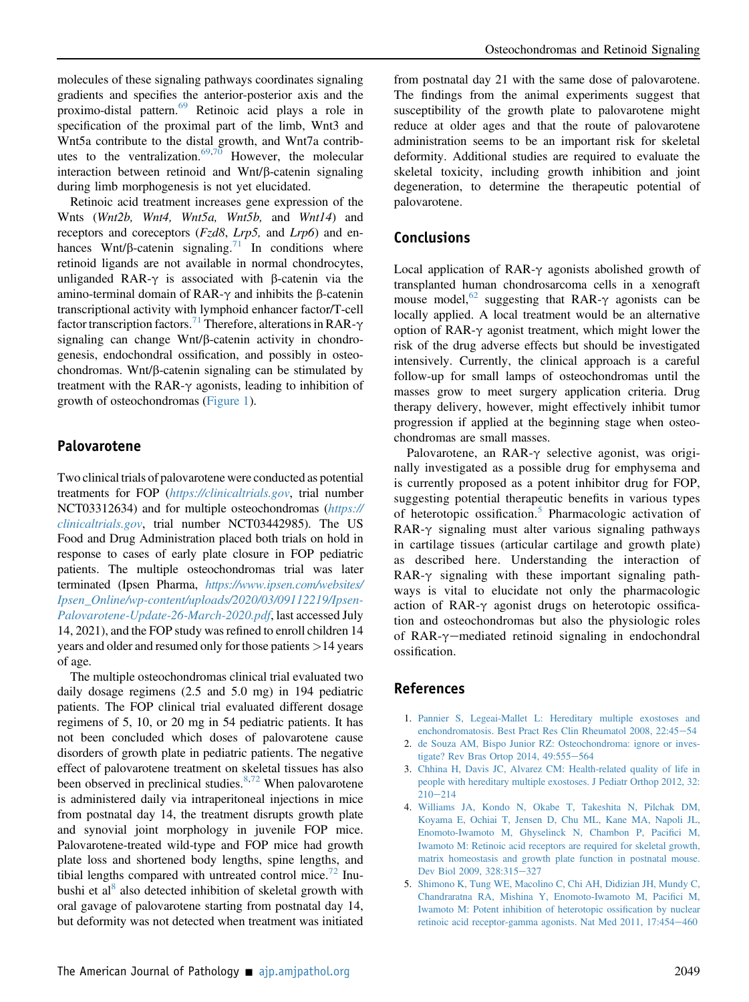molecules of these signaling pathways coordinates signaling gradients and specifies the anterior-posterior axis and the proximo-distal pattern.<sup>[69](#page-9-25)</sup> Retinoic acid plays a role in specification of the proximal part of the limb, Wnt3 and Wnt5a contribute to the distal growth, and Wnt7a contrib-utes to the ventralization.<sup>[69](#page-9-25)[,70](#page-9-26)</sup> However, the molecular interaction between retinoid and  $Wnt/\beta$ -catenin signaling during limb morphogenesis is not yet elucidated.

Retinoic acid treatment increases gene expression of the Wnts (Wnt2b, Wnt4, Wnt5a, Wnt5b, and Wnt14) and receptors and coreceptors  $(Fz d8, Lrp5, \text{ and } Lrp6)$  and enhances Wnt/ $\beta$ -catenin signaling.<sup>[71](#page-9-27)</sup> In conditions where retinoid ligands are not available in normal chondrocytes, unliganded RAR- $\gamma$  is associated with  $\beta$ -catenin via the amino-terminal domain of RAR- $\gamma$  and inhibits the  $\beta$ -catenin transcriptional activity with lymphoid enhancer factor/T-cell factor transcription factors.<sup>71</sup> Therefore, alterations in RAR- $\gamma$ signaling can change  $Wnt/\beta$ -catenin activity in chondrogenesis, endochondral ossification, and possibly in osteochondromas. Wnt/ $\beta$ -catenin signaling can be stimulated by treatment with the RAR- $\gamma$  agonists, leading to inhibition of growth of osteochondromas [\(Figure 1\)](#page-5-0).

### Palovarotene

Two clinical trials of palovarotene were conducted as potential treatments for FOP (<https://clinicaltrials.gov>, trial number NCT03312634) and for multiple osteochondromas ([https://](https://clinicaltrials.gov)  $clinical trials.gov$ , trial number NCT03442985). The US Food and Drug Administration placed both trials on hold in response to cases of early plate closure in FOP pediatric patients. The multiple osteochondromas trial was later terminated (Ipsen Pharma, [https://www.ipsen.com/websites/](https://www.ipsen.com/websites/Ipsen_Online/wp-content/uploads/2020/03/09112219/Ipsen-Palovarotene-Update-26-March-2020.pdf) [Ipsen\\_Online/wp-content/uploads/2020/03/09112219/Ipsen-](https://www.ipsen.com/websites/Ipsen_Online/wp-content/uploads/2020/03/09112219/Ipsen-Palovarotene-Update-26-March-2020.pdf)[Palovarotene-Update-26-March-2020.pdf](https://www.ipsen.com/websites/Ipsen_Online/wp-content/uploads/2020/03/09112219/Ipsen-Palovarotene-Update-26-March-2020.pdf), last accessed July 14, 2021), and the FOP study was refined to enroll children 14 years and older and resumed only for those patients >14 years of age.

The multiple osteochondromas clinical trial evaluated two daily dosage regimens (2.5 and 5.0 mg) in 194 pediatric patients. The FOP clinical trial evaluated different dosage regimens of 5, 10, or 20 mg in 54 pediatric patients. It has not been concluded which doses of palovarotene cause disorders of growth plate in pediatric patients. The negative effect of palovarotene treatment on skeletal tissues has also been observed in preclinical studies. $8,72$  $8,72$  When palovarotene is administered daily via intraperitoneal injections in mice from postnatal day 14, the treatment disrupts growth plate and synovial joint morphology in juvenile FOP mice. Palovarotene-treated wild-type and FOP mice had growth plate loss and shortened body lengths, spine lengths, and tibial lengths compared with untreated control mice.<sup>[72](#page-9-28)</sup> Inu-bushi et al<sup>[8](#page-8-2)</sup> also detected inhibition of skeletal growth with oral gavage of palovarotene starting from postnatal day 14, but deformity was not detected when treatment was initiated

from postnatal day 21 with the same dose of palovarotene. The findings from the animal experiments suggest that susceptibility of the growth plate to palovarotene might reduce at older ages and that the route of palovarotene administration seems to be an important risk for skeletal deformity. Additional studies are required to evaluate the skeletal toxicity, including growth inhibition and joint degeneration, to determine the therapeutic potential of palovarotene.

## **Conclusions**

Local application of  $RAR-\gamma$  agonists abolished growth of transplanted human chondrosarcoma cells in a xenograft mouse model,<sup>[62](#page-9-18)</sup> suggesting that RAR- $\gamma$  agonists can be locally applied. A local treatment would be an alternative option of  $RAR-\gamma$  agonist treatment, which might lower the risk of the drug adverse effects but should be investigated intensively. Currently, the clinical approach is a careful follow-up for small lamps of osteochondromas until the masses grow to meet surgery application criteria. Drug therapy delivery, however, might effectively inhibit tumor progression if applied at the beginning stage when osteochondromas are small masses.

Palovarotene, an  $RAR-\gamma$  selective agonist, was originally investigated as a possible drug for emphysema and is currently proposed as a potent inhibitor drug for FOP, suggesting potential therapeutic benefits in various types of heterotopic ossification.<sup>[5](#page-7-4)</sup> Pharmacologic activation of  $RAR-\gamma$  signaling must alter various signaling pathways in cartilage tissues (articular cartilage and growth plate) as described here. Understanding the interaction of  $RAR-\gamma$  signaling with these important signaling pathways is vital to elucidate not only the pharmacologic action of RAR- $\gamma$  agonist drugs on heterotopic ossification and osteochondromas but also the physiologic roles of RAR- $\gamma$ -mediated retinoid signaling in endochondral ossification.

## References

- <span id="page-7-0"></span>1. [Pannier S, Legeai-Mallet L: Hereditary multiple exostoses and](http://refhub.elsevier.com/S0002-9440(21)00351-5/sref1) [enchondromatosis. Best Pract Res Clin Rheumatol 2008, 22:45](http://refhub.elsevier.com/S0002-9440(21)00351-5/sref1)-[54](http://refhub.elsevier.com/S0002-9440(21)00351-5/sref1)
- <span id="page-7-1"></span>2. [de Souza AM, Bispo Junior RZ: Osteochondroma: ignore or inves](http://refhub.elsevier.com/S0002-9440(21)00351-5/sref2)[tigate? Rev Bras Ortop 2014, 49:555](http://refhub.elsevier.com/S0002-9440(21)00351-5/sref2)-[564](http://refhub.elsevier.com/S0002-9440(21)00351-5/sref2)
- <span id="page-7-2"></span>3. [Chhina H, Davis JC, Alvarez CM: Health-related quality of life in](http://refhub.elsevier.com/S0002-9440(21)00351-5/sref3) [people with hereditary multiple exostoses. J Pediatr Orthop 2012, 32:](http://refhub.elsevier.com/S0002-9440(21)00351-5/sref3)  $210 - 214$  $210 - 214$  $210 - 214$
- <span id="page-7-3"></span>4. [Williams JA, Kondo N, Okabe T, Takeshita N, Pilchak DM,](http://refhub.elsevier.com/S0002-9440(21)00351-5/sref4) [Koyama E, Ochiai T, Jensen D, Chu ML, Kane MA, Napoli JL,](http://refhub.elsevier.com/S0002-9440(21)00351-5/sref4) [Enomoto-Iwamoto M, Ghyselinck N, Chambon P, Paci](http://refhub.elsevier.com/S0002-9440(21)00351-5/sref4)fici M, [Iwamoto M: Retinoic acid receptors are required for skeletal growth,](http://refhub.elsevier.com/S0002-9440(21)00351-5/sref4) [matrix homeostasis and growth plate function in postnatal mouse.](http://refhub.elsevier.com/S0002-9440(21)00351-5/sref4) [Dev Biol 2009, 328:315](http://refhub.elsevier.com/S0002-9440(21)00351-5/sref4)-[327](http://refhub.elsevier.com/S0002-9440(21)00351-5/sref4)
- <span id="page-7-4"></span>5. [Shimono K, Tung WE, Macolino C, Chi AH, Didizian JH, Mundy C,](http://refhub.elsevier.com/S0002-9440(21)00351-5/sref5) [Chandraratna RA, Mishina Y, Enomoto-Iwamoto M, Paci](http://refhub.elsevier.com/S0002-9440(21)00351-5/sref5)fici M, [Iwamoto M: Potent inhibition of heterotopic ossi](http://refhub.elsevier.com/S0002-9440(21)00351-5/sref5)fication by nuclear [retinoic acid receptor-gamma agonists. Nat Med 2011, 17:454](http://refhub.elsevier.com/S0002-9440(21)00351-5/sref5)-[460](http://refhub.elsevier.com/S0002-9440(21)00351-5/sref5)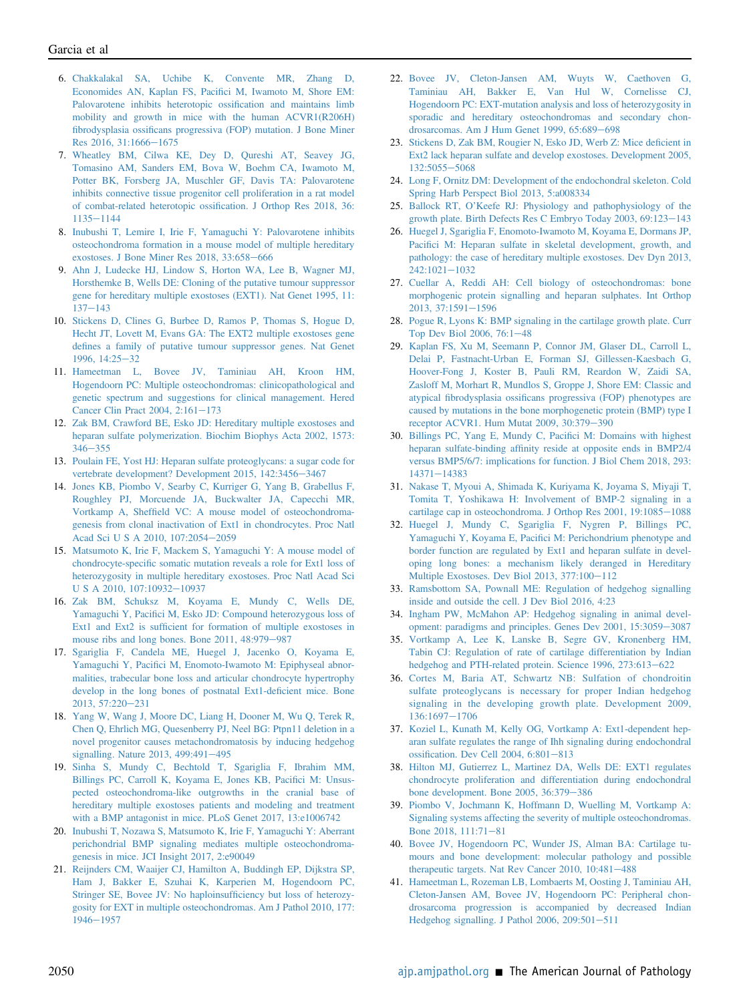- <span id="page-8-0"></span>6. [Chakkalakal SA, Uchibe K, Convente MR, Zhang D,](http://refhub.elsevier.com/S0002-9440(21)00351-5/sref6) [Economides AN, Kaplan FS, Paci](http://refhub.elsevier.com/S0002-9440(21)00351-5/sref6)fici M, Iwamoto M, Shore EM: [Palovarotene inhibits heterotopic ossi](http://refhub.elsevier.com/S0002-9440(21)00351-5/sref6)fication and maintains limb [mobility and growth in mice with the human ACVR1\(R206H\)](http://refhub.elsevier.com/S0002-9440(21)00351-5/sref6) fibrodysplasia ossifi[cans progressiva \(FOP\) mutation. J Bone Miner](http://refhub.elsevier.com/S0002-9440(21)00351-5/sref6) [Res 2016, 31:1666](http://refhub.elsevier.com/S0002-9440(21)00351-5/sref6)-[1675](http://refhub.elsevier.com/S0002-9440(21)00351-5/sref6)
- <span id="page-8-1"></span>7. [Wheatley BM, Cilwa KE, Dey D, Qureshi AT, Seavey JG,](http://refhub.elsevier.com/S0002-9440(21)00351-5/sref7) [Tomasino AM, Sanders EM, Bova W, Boehm CA, Iwamoto M,](http://refhub.elsevier.com/S0002-9440(21)00351-5/sref7) [Potter BK, Forsberg JA, Muschler GF, Davis TA: Palovarotene](http://refhub.elsevier.com/S0002-9440(21)00351-5/sref7) [inhibits connective tissue progenitor cell proliferation in a rat model](http://refhub.elsevier.com/S0002-9440(21)00351-5/sref7) [of combat-related heterotopic ossi](http://refhub.elsevier.com/S0002-9440(21)00351-5/sref7)fication. J Orthop Res 2018, 36: [1135](http://refhub.elsevier.com/S0002-9440(21)00351-5/sref7)-[1144](http://refhub.elsevier.com/S0002-9440(21)00351-5/sref7)
- <span id="page-8-2"></span>8. [Inubushi T, Lemire I, Irie F, Yamaguchi Y: Palovarotene inhibits](http://refhub.elsevier.com/S0002-9440(21)00351-5/sref8) [osteochondroma formation in a mouse model of multiple hereditary](http://refhub.elsevier.com/S0002-9440(21)00351-5/sref8) [exostoses. J Bone Miner Res 2018, 33:658](http://refhub.elsevier.com/S0002-9440(21)00351-5/sref8)-[666](http://refhub.elsevier.com/S0002-9440(21)00351-5/sref8)
- <span id="page-8-3"></span>9. [Ahn J, Ludecke HJ, Lindow S, Horton WA, Lee B, Wagner MJ,](http://refhub.elsevier.com/S0002-9440(21)00351-5/sref9) [Horsthemke B, Wells DE: Cloning of the putative tumour suppressor](http://refhub.elsevier.com/S0002-9440(21)00351-5/sref9) [gene for hereditary multiple exostoses \(EXT1\). Nat Genet 1995, 11:](http://refhub.elsevier.com/S0002-9440(21)00351-5/sref9)  $137 - 143$  $137 - 143$  $137 - 143$
- <span id="page-8-4"></span>10. [Stickens D, Clines G, Burbee D, Ramos P, Thomas S, Hogue D,](http://refhub.elsevier.com/S0002-9440(21)00351-5/sref10) [Hecht JT, Lovett M, Evans GA: The EXT2 multiple exostoses gene](http://refhub.elsevier.com/S0002-9440(21)00351-5/sref10) defi[nes a family of putative tumour suppressor genes. Nat Genet](http://refhub.elsevier.com/S0002-9440(21)00351-5/sref10) [1996, 14:25](http://refhub.elsevier.com/S0002-9440(21)00351-5/sref10)-[32](http://refhub.elsevier.com/S0002-9440(21)00351-5/sref10)
- <span id="page-8-5"></span>11. [Hameetman L, Bovee JV, Taminiau AH, Kroon HM,](http://refhub.elsevier.com/S0002-9440(21)00351-5/sref11) [Hogendoorn PC: Multiple osteochondromas: clinicopathological and](http://refhub.elsevier.com/S0002-9440(21)00351-5/sref11) [genetic spectrum and suggestions for clinical management. Hered](http://refhub.elsevier.com/S0002-9440(21)00351-5/sref11) Cancer Clin Pract 2004,  $2:161-173$  $2:161-173$
- <span id="page-8-6"></span>12. [Zak BM, Crawford BE, Esko JD: Hereditary multiple exostoses and](http://refhub.elsevier.com/S0002-9440(21)00351-5/sref12) [heparan sulfate polymerization. Biochim Biophys Acta 2002, 1573:](http://refhub.elsevier.com/S0002-9440(21)00351-5/sref12)  $346 - 355$  $346 - 355$  $346 - 355$
- <span id="page-8-7"></span>13. [Poulain FE, Yost HJ: Heparan sulfate proteoglycans: a sugar code for](http://refhub.elsevier.com/S0002-9440(21)00351-5/sref13) [vertebrate development? Development 2015, 142:3456](http://refhub.elsevier.com/S0002-9440(21)00351-5/sref13)-[3467](http://refhub.elsevier.com/S0002-9440(21)00351-5/sref13)
- <span id="page-8-8"></span>14. [Jones KB, Piombo V, Searby C, Kurriger G, Yang B, Grabellus F,](http://refhub.elsevier.com/S0002-9440(21)00351-5/sref14) [Roughley PJ, Morcuende JA, Buckwalter JA, Capecchi MR,](http://refhub.elsevier.com/S0002-9440(21)00351-5/sref14) Vortkamp A, Sheffi[eld VC: A mouse model of osteochondroma](http://refhub.elsevier.com/S0002-9440(21)00351-5/sref14)[genesis from clonal inactivation of Ext1 in chondrocytes. Proc Natl](http://refhub.elsevier.com/S0002-9440(21)00351-5/sref14) [Acad Sci U S A 2010, 107:2054](http://refhub.elsevier.com/S0002-9440(21)00351-5/sref14)-[2059](http://refhub.elsevier.com/S0002-9440(21)00351-5/sref14)
- <span id="page-8-11"></span>15. [Matsumoto K, Irie F, Mackem S, Yamaguchi Y: A mouse model of](http://refhub.elsevier.com/S0002-9440(21)00351-5/sref15) chondrocyte-specifi[c somatic mutation reveals a role for Ext1 loss of](http://refhub.elsevier.com/S0002-9440(21)00351-5/sref15) [heterozygosity in multiple hereditary exostoses. Proc Natl Acad Sci](http://refhub.elsevier.com/S0002-9440(21)00351-5/sref15) [U S A 2010, 107:10932](http://refhub.elsevier.com/S0002-9440(21)00351-5/sref15)-[10937](http://refhub.elsevier.com/S0002-9440(21)00351-5/sref15)
- <span id="page-8-12"></span>16. [Zak BM, Schuksz M, Koyama E, Mundy C, Wells DE,](http://refhub.elsevier.com/S0002-9440(21)00351-5/sref16) Yamaguchi Y, Pacifi[ci M, Esko JD: Compound heterozygous loss of](http://refhub.elsevier.com/S0002-9440(21)00351-5/sref16) Ext1 and Ext2 is suffi[cient for formation of multiple exostoses in](http://refhub.elsevier.com/S0002-9440(21)00351-5/sref16) [mouse ribs and long bones. Bone 2011, 48:979](http://refhub.elsevier.com/S0002-9440(21)00351-5/sref16)-[987](http://refhub.elsevier.com/S0002-9440(21)00351-5/sref16)
- <span id="page-8-14"></span>17. [Sgariglia F, Candela ME, Huegel J, Jacenko O, Koyama E,](http://refhub.elsevier.com/S0002-9440(21)00351-5/sref17) Yamaguchi Y, Pacifi[ci M, Enomoto-Iwamoto M: Epiphyseal abnor](http://refhub.elsevier.com/S0002-9440(21)00351-5/sref17)[malities, trabecular bone loss and articular chondrocyte hypertrophy](http://refhub.elsevier.com/S0002-9440(21)00351-5/sref17) [develop in the long bones of postnatal Ext1-de](http://refhub.elsevier.com/S0002-9440(21)00351-5/sref17)ficient mice. Bone  $2013, 57:220 - 231$  $2013, 57:220 - 231$  $2013, 57:220 - 231$
- <span id="page-8-15"></span>18. [Yang W, Wang J, Moore DC, Liang H, Dooner M, Wu Q, Terek R,](http://refhub.elsevier.com/S0002-9440(21)00351-5/sref18) [Chen Q, Ehrlich MG, Quesenberry PJ, Neel BG: Ptpn11 deletion in a](http://refhub.elsevier.com/S0002-9440(21)00351-5/sref18) [novel progenitor causes metachondromatosis by inducing hedgehog](http://refhub.elsevier.com/S0002-9440(21)00351-5/sref18) [signalling. Nature 2013, 499:491](http://refhub.elsevier.com/S0002-9440(21)00351-5/sref18)-[495](http://refhub.elsevier.com/S0002-9440(21)00351-5/sref18)
- <span id="page-8-16"></span>19. [Sinha S, Mundy C, Bechtold T, Sgariglia F, Ibrahim MM,](http://refhub.elsevier.com/S0002-9440(21)00351-5/sref19) [Billings PC, Carroll K, Koyama E, Jones KB, Paci](http://refhub.elsevier.com/S0002-9440(21)00351-5/sref19)fici M: Unsus[pected osteochondroma-like outgrowths in the cranial base of](http://refhub.elsevier.com/S0002-9440(21)00351-5/sref19) [hereditary multiple exostoses patients and modeling and treatment](http://refhub.elsevier.com/S0002-9440(21)00351-5/sref19) [with a BMP antagonist in mice. PLoS Genet 2017, 13:e1006742](http://refhub.elsevier.com/S0002-9440(21)00351-5/sref19)
- <span id="page-8-17"></span>20. [Inubushi T, Nozawa S, Matsumoto K, Irie F, Yamaguchi Y: Aberrant](http://refhub.elsevier.com/S0002-9440(21)00351-5/sref20) [perichondrial BMP signaling mediates multiple osteochondroma](http://refhub.elsevier.com/S0002-9440(21)00351-5/sref20)[genesis in mice. JCI Insight 2017, 2:e90049](http://refhub.elsevier.com/S0002-9440(21)00351-5/sref20)
- <span id="page-8-9"></span>21. [Reijnders CM, Waaijer CJ, Hamilton A, Buddingh EP, Dijkstra SP,](http://refhub.elsevier.com/S0002-9440(21)00351-5/sref21) [Ham J, Bakker E, Szuhai K, Karperien M, Hogendoorn PC,](http://refhub.elsevier.com/S0002-9440(21)00351-5/sref21) [Stringer SE, Bovee JV: No haploinsuf](http://refhub.elsevier.com/S0002-9440(21)00351-5/sref21)ficiency but loss of heterozy[gosity for EXT in multiple osteochondromas. Am J Pathol 2010, 177:](http://refhub.elsevier.com/S0002-9440(21)00351-5/sref21)  $1946 - 1957$  $1946 - 1957$  $1946 - 1957$
- <span id="page-8-10"></span>22. [Bovee JV, Cleton-Jansen AM, Wuyts W, Caethoven G,](http://refhub.elsevier.com/S0002-9440(21)00351-5/sref22) [Taminiau AH, Bakker E, Van Hul W, Cornelisse CJ,](http://refhub.elsevier.com/S0002-9440(21)00351-5/sref22) [Hogendoorn PC: EXT-mutation analysis and loss of heterozygosity in](http://refhub.elsevier.com/S0002-9440(21)00351-5/sref22) [sporadic and hereditary osteochondromas and secondary chon](http://refhub.elsevier.com/S0002-9440(21)00351-5/sref22)[drosarcomas. Am J Hum Genet 1999, 65:689](http://refhub.elsevier.com/S0002-9440(21)00351-5/sref22)-[698](http://refhub.elsevier.com/S0002-9440(21)00351-5/sref22)
- <span id="page-8-13"></span>23. [Stickens D, Zak BM, Rougier N, Esko JD, Werb Z: Mice de](http://refhub.elsevier.com/S0002-9440(21)00351-5/sref23)ficient in [Ext2 lack heparan sulfate and develop exostoses. Development 2005,](http://refhub.elsevier.com/S0002-9440(21)00351-5/sref23) [132:5055](http://refhub.elsevier.com/S0002-9440(21)00351-5/sref23)-[5068](http://refhub.elsevier.com/S0002-9440(21)00351-5/sref23)
- <span id="page-8-18"></span>24. [Long F, Ornitz DM: Development of the endochondral skeleton. Cold](http://refhub.elsevier.com/S0002-9440(21)00351-5/sref24) [Spring Harb Perspect Biol 2013, 5:a008334](http://refhub.elsevier.com/S0002-9440(21)00351-5/sref24)
- <span id="page-8-19"></span>25. Ballock RT, O'[Keefe RJ: Physiology and pathophysiology of the](http://refhub.elsevier.com/S0002-9440(21)00351-5/sref25) [growth plate. Birth Defects Res C Embryo Today 2003, 69:123](http://refhub.elsevier.com/S0002-9440(21)00351-5/sref25)-[143](http://refhub.elsevier.com/S0002-9440(21)00351-5/sref25)
- <span id="page-8-20"></span>26. [Huegel J, Sgariglia F, Enomoto-Iwamoto M, Koyama E, Dormans JP,](http://refhub.elsevier.com/S0002-9440(21)00351-5/sref26) Pacifi[ci M: Heparan sulfate in skeletal development, growth, and](http://refhub.elsevier.com/S0002-9440(21)00351-5/sref26) [pathology: the case of hereditary multiple exostoses. Dev Dyn 2013,](http://refhub.elsevier.com/S0002-9440(21)00351-5/sref26)  $242:1021 - 1032$  $242:1021 - 1032$  $242:1021 - 1032$
- <span id="page-8-21"></span>27. [Cuellar A, Reddi AH: Cell biology of osteochondromas: bone](http://refhub.elsevier.com/S0002-9440(21)00351-5/sref27) [morphogenic protein signalling and heparan sulphates. Int Orthop](http://refhub.elsevier.com/S0002-9440(21)00351-5/sref27)  $2013, 37:1591 - 1596$  $2013, 37:1591 - 1596$  $2013, 37:1591 - 1596$
- <span id="page-8-22"></span>28. [Pogue R, Lyons K: BMP signaling in the cartilage growth plate. Curr](http://refhub.elsevier.com/S0002-9440(21)00351-5/sref28) [Top Dev Biol 2006, 76:1](http://refhub.elsevier.com/S0002-9440(21)00351-5/sref28)-[48](http://refhub.elsevier.com/S0002-9440(21)00351-5/sref28)
- <span id="page-8-23"></span>29. [Kaplan FS, Xu M, Seemann P, Connor JM, Glaser DL, Carroll L,](http://refhub.elsevier.com/S0002-9440(21)00351-5/sref29) [Delai P, Fastnacht-Urban E, Forman SJ, Gillessen-Kaesbach G,](http://refhub.elsevier.com/S0002-9440(21)00351-5/sref29) [Hoover-Fong J, Koster B, Pauli RM, Reardon W, Zaidi SA,](http://refhub.elsevier.com/S0002-9440(21)00351-5/sref29) [Zasloff M, Morhart R, Mundlos S, Groppe J, Shore EM: Classic and](http://refhub.elsevier.com/S0002-9440(21)00351-5/sref29) atypical fibrodysplasia ossifi[cans progressiva \(FOP\) phenotypes are](http://refhub.elsevier.com/S0002-9440(21)00351-5/sref29) [caused by mutations in the bone morphogenetic protein \(BMP\) type I](http://refhub.elsevier.com/S0002-9440(21)00351-5/sref29) [receptor ACVR1. Hum Mutat 2009, 30:379](http://refhub.elsevier.com/S0002-9440(21)00351-5/sref29)-[390](http://refhub.elsevier.com/S0002-9440(21)00351-5/sref29)
- <span id="page-8-24"></span>30. [Billings PC, Yang E, Mundy C, Paci](http://refhub.elsevier.com/S0002-9440(21)00351-5/sref30)fici M: Domains with highest heparan sulfate-binding affi[nity reside at opposite ends in BMP2/4](http://refhub.elsevier.com/S0002-9440(21)00351-5/sref30) [versus BMP5/6/7: implications for function. J Biol Chem 2018, 293:](http://refhub.elsevier.com/S0002-9440(21)00351-5/sref30) [14371](http://refhub.elsevier.com/S0002-9440(21)00351-5/sref30)-[14383](http://refhub.elsevier.com/S0002-9440(21)00351-5/sref30)
- <span id="page-8-25"></span>31. [Nakase T, Myoui A, Shimada K, Kuriyama K, Joyama S, Miyaji T,](http://refhub.elsevier.com/S0002-9440(21)00351-5/sref31) [Tomita T, Yoshikawa H: Involvement of BMP-2 signaling in a](http://refhub.elsevier.com/S0002-9440(21)00351-5/sref31) [cartilage cap in osteochondroma. J Orthop Res 2001, 19:1085](http://refhub.elsevier.com/S0002-9440(21)00351-5/sref31)-[1088](http://refhub.elsevier.com/S0002-9440(21)00351-5/sref31)
- <span id="page-8-26"></span>32. [Huegel J, Mundy C, Sgariglia F, Nygren P, Billings PC,](http://refhub.elsevier.com/S0002-9440(21)00351-5/sref32) Yamaguchi Y, Koyama E, Pacifi[ci M: Perichondrium phenotype and](http://refhub.elsevier.com/S0002-9440(21)00351-5/sref32) [border function are regulated by Ext1 and heparan sulfate in devel](http://refhub.elsevier.com/S0002-9440(21)00351-5/sref32)[oping long bones: a mechanism likely deranged in Hereditary](http://refhub.elsevier.com/S0002-9440(21)00351-5/sref32) [Multiple Exostoses. Dev Biol 2013, 377:100](http://refhub.elsevier.com/S0002-9440(21)00351-5/sref32)-[112](http://refhub.elsevier.com/S0002-9440(21)00351-5/sref32)
- <span id="page-8-27"></span>33. [Ramsbottom SA, Pownall ME: Regulation of hedgehog signalling](http://refhub.elsevier.com/S0002-9440(21)00351-5/sref33) [inside and outside the cell. J Dev Biol 2016, 4:23](http://refhub.elsevier.com/S0002-9440(21)00351-5/sref33)
- <span id="page-8-28"></span>34. [Ingham PW, McMahon AP: Hedgehog signaling in animal devel](http://refhub.elsevier.com/S0002-9440(21)00351-5/sref34)[opment: paradigms and principles. Genes Dev 2001, 15:3059](http://refhub.elsevier.com/S0002-9440(21)00351-5/sref34)-[3087](http://refhub.elsevier.com/S0002-9440(21)00351-5/sref34)
- <span id="page-8-29"></span>35. [Vortkamp A, Lee K, Lanske B, Segre GV, Kronenberg HM,](http://refhub.elsevier.com/S0002-9440(21)00351-5/sref35) [Tabin CJ: Regulation of rate of cartilage differentiation by Indian](http://refhub.elsevier.com/S0002-9440(21)00351-5/sref35) [hedgehog and PTH-related protein. Science 1996, 273:613](http://refhub.elsevier.com/S0002-9440(21)00351-5/sref35)-[622](http://refhub.elsevier.com/S0002-9440(21)00351-5/sref35)
- <span id="page-8-30"></span>36. [Cortes M, Baria AT, Schwartz NB: Sulfation of chondroitin](http://refhub.elsevier.com/S0002-9440(21)00351-5/sref36) [sulfate proteoglycans is necessary for proper Indian hedgehog](http://refhub.elsevier.com/S0002-9440(21)00351-5/sref36) [signaling in the developing growth plate. Development 2009,](http://refhub.elsevier.com/S0002-9440(21)00351-5/sref36) [136:1697](http://refhub.elsevier.com/S0002-9440(21)00351-5/sref36)-[1706](http://refhub.elsevier.com/S0002-9440(21)00351-5/sref36)
- <span id="page-8-31"></span>37. [Koziel L, Kunath M, Kelly OG, Vortkamp A: Ext1-dependent hep](http://refhub.elsevier.com/S0002-9440(21)00351-5/sref37)[aran sulfate regulates the range of Ihh signaling during endochondral](http://refhub.elsevier.com/S0002-9440(21)00351-5/sref37) ossifi[cation. Dev Cell 2004, 6:801](http://refhub.elsevier.com/S0002-9440(21)00351-5/sref37)-[813](http://refhub.elsevier.com/S0002-9440(21)00351-5/sref37)
- <span id="page-8-32"></span>38. [Hilton MJ, Gutierrez L, Martinez DA, Wells DE: EXT1 regulates](http://refhub.elsevier.com/S0002-9440(21)00351-5/sref38) [chondrocyte proliferation and differentiation during endochondral](http://refhub.elsevier.com/S0002-9440(21)00351-5/sref38) bone development. Bone  $2005$ ,  $36:379-386$  $36:379-386$
- <span id="page-8-33"></span>39. [Piombo V, Jochmann K, Hoffmann D, Wuelling M, Vortkamp A:](http://refhub.elsevier.com/S0002-9440(21)00351-5/sref39) [Signaling systems affecting the severity of multiple osteochondromas.](http://refhub.elsevier.com/S0002-9440(21)00351-5/sref39) [Bone 2018, 111:71](http://refhub.elsevier.com/S0002-9440(21)00351-5/sref39)-[81](http://refhub.elsevier.com/S0002-9440(21)00351-5/sref39)
- <span id="page-8-34"></span>40. [Bovee JV, Hogendoorn PC, Wunder JS, Alman BA: Cartilage tu](http://refhub.elsevier.com/S0002-9440(21)00351-5/sref40)[mours and bone development: molecular pathology and possible](http://refhub.elsevier.com/S0002-9440(21)00351-5/sref40) therapeutic targets. Nat Rev Cancer 2010,  $10:481-488$  $10:481-488$
- <span id="page-8-35"></span>41. [Hameetman L, Rozeman LB, Lombaerts M, Oosting J, Taminiau AH,](http://refhub.elsevier.com/S0002-9440(21)00351-5/sref41) [Cleton-Jansen AM, Bovee JV, Hogendoorn PC: Peripheral chon](http://refhub.elsevier.com/S0002-9440(21)00351-5/sref41)[drosarcoma progression is accompanied by decreased Indian](http://refhub.elsevier.com/S0002-9440(21)00351-5/sref41) Hedgehog signalling. J Pathol 2006,  $209:501-511$  $209:501-511$